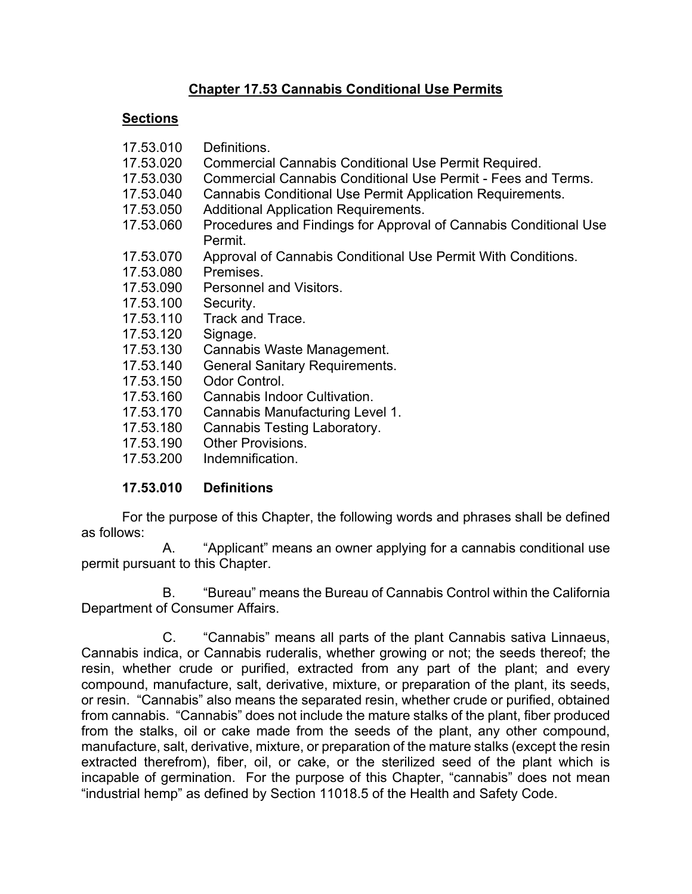## **Chapter 17.53 Cannabis Conditional Use Permits**

#### **Sections**

| 17.53.010 | Definitions.                                                                |
|-----------|-----------------------------------------------------------------------------|
| 17.53.020 | Commercial Cannabis Conditional Use Permit Required.                        |
| 17.53.030 | Commercial Cannabis Conditional Use Permit - Fees and Terms.                |
| 17.53.040 | <b>Cannabis Conditional Use Permit Application Requirements.</b>            |
| 17.53.050 | <b>Additional Application Requirements.</b>                                 |
| 17.53.060 | Procedures and Findings for Approval of Cannabis Conditional Use<br>Permit. |
| 17.53.070 | Approval of Cannabis Conditional Use Permit With Conditions.                |
| 17.53.080 | Premises.                                                                   |
| 17.53.090 | Personnel and Visitors.                                                     |
| 17.53.100 | Security.                                                                   |
| 17.53.110 | Track and Trace.                                                            |
| 17.53.120 | Signage.                                                                    |
| 17.53.130 | Cannabis Waste Management.                                                  |
| 17.53.140 | <b>General Sanitary Requirements.</b>                                       |
| 17.53.150 | Odor Control.                                                               |
| 17.53.160 | Cannabis Indoor Cultivation.                                                |
| 17.53.170 | Cannabis Manufacturing Level 1.                                             |
| 17.53.180 | <b>Cannabis Testing Laboratory.</b>                                         |
| 17.53.190 | <b>Other Provisions.</b>                                                    |
| 17.53.200 | Indemnification.                                                            |
|           |                                                                             |

#### **17.53.010 Definitions**

 For the purpose of this Chapter, the following words and phrases shall be defined as follows:

A. "Applicant" means an owner applying for a cannabis conditional use permit pursuant to this Chapter.

B. "Bureau" means the Bureau of Cannabis Control within the California Department of Consumer Affairs.

C. "Cannabis" means all parts of the plant Cannabis sativa Linnaeus, Cannabis indica, or Cannabis ruderalis, whether growing or not; the seeds thereof; the resin, whether crude or purified, extracted from any part of the plant; and every compound, manufacture, salt, derivative, mixture, or preparation of the plant, its seeds, or resin. "Cannabis" also means the separated resin, whether crude or purified, obtained from cannabis. "Cannabis" does not include the mature stalks of the plant, fiber produced from the stalks, oil or cake made from the seeds of the plant, any other compound, manufacture, salt, derivative, mixture, or preparation of the mature stalks (except the resin extracted therefrom), fiber, oil, or cake, or the sterilized seed of the plant which is incapable of germination. For the purpose of this Chapter, "cannabis" does not mean "industrial hemp" as defined by Section 11018.5 of the Health and Safety Code.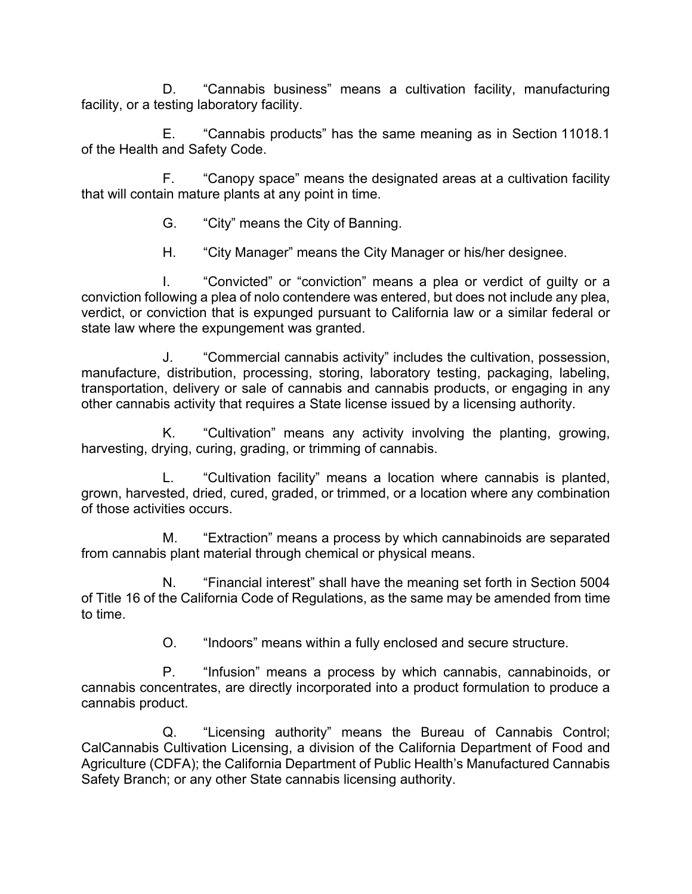D. "Cannabis business" means a cultivation facility, manufacturing facility, or a testing laboratory facility.

E. "Cannabis products" has the same meaning as in Section 11018.1 of the Health and Safety Code.

F. "Canopy space" means the designated areas at a cultivation facility that will contain mature plants at any point in time.

- G. "City" means the City of Banning.
- H. "City Manager" means the City Manager or his/her designee.

I. "Convicted" or "conviction" means a plea or verdict of guilty or a conviction following a plea of nolo contendere was entered, but does not include any plea, verdict, or conviction that is expunged pursuant to California law or a similar federal or state law where the expungement was granted.

J. "Commercial cannabis activity" includes the cultivation, possession, manufacture, distribution, processing, storing, laboratory testing, packaging, labeling, transportation, delivery or sale of cannabis and cannabis products, or engaging in any other cannabis activity that requires a State license issued by a licensing authority.

K. "Cultivation" means any activity involving the planting, growing, harvesting, drying, curing, grading, or trimming of cannabis.

L. "Cultivation facility" means a location where cannabis is planted, grown, harvested, dried, cured, graded, or trimmed, or a location where any combination of those activities occurs.

M. "Extraction" means a process by which cannabinoids are separated from cannabis plant material through chemical or physical means.

N. "Financial interest" shall have the meaning set forth in Section 5004 of Title 16 of the California Code of Regulations, as the same may be amended from time to time.

O. "Indoors" means within a fully enclosed and secure structure.

P. "Infusion" means a process by which cannabis, cannabinoids, or cannabis concentrates, are directly incorporated into a product formulation to produce a cannabis product.

Q. "Licensing authority" means the Bureau of Cannabis Control; CalCannabis Cultivation Licensing, a division of the California Department of Food and Agriculture (CDFA); the California Department of Public Health's Manufactured Cannabis Safety Branch; or any other State cannabis licensing authority.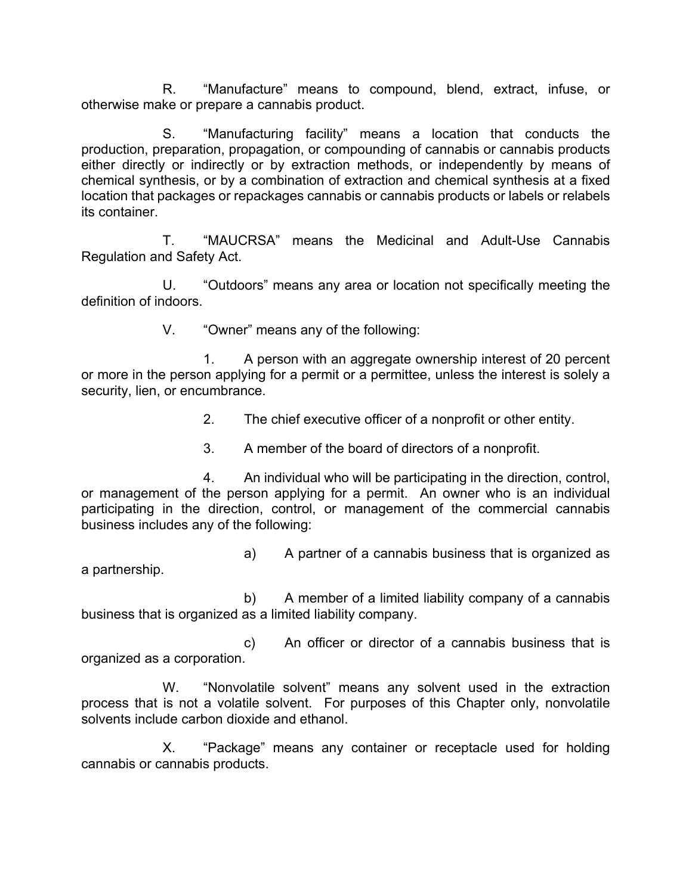R. "Manufacture" means to compound, blend, extract, infuse, or otherwise make or prepare a cannabis product.

S. "Manufacturing facility" means a location that conducts the production, preparation, propagation, or compounding of cannabis or cannabis products either directly or indirectly or by extraction methods, or independently by means of chemical synthesis, or by a combination of extraction and chemical synthesis at a fixed location that packages or repackages cannabis or cannabis products or labels or relabels its container.

T. "MAUCRSA" means the Medicinal and Adult-Use Cannabis Regulation and Safety Act.

U. "Outdoors" means any area or location not specifically meeting the definition of indoors.

V. "Owner" means any of the following:

1. A person with an aggregate ownership interest of 20 percent or more in the person applying for a permit or a permittee, unless the interest is solely a security, lien, or encumbrance.

2. The chief executive officer of a nonprofit or other entity.

3. A member of the board of directors of a nonprofit.

4. An individual who will be participating in the direction, control, or management of the person applying for a permit. An owner who is an individual participating in the direction, control, or management of the commercial cannabis business includes any of the following:

a) A partner of a cannabis business that is organized as a partnership.

b) A member of a limited liability company of a cannabis business that is organized as a limited liability company.

c) An officer or director of a cannabis business that is organized as a corporation.

W. "Nonvolatile solvent" means any solvent used in the extraction process that is not a volatile solvent. For purposes of this Chapter only, nonvolatile solvents include carbon dioxide and ethanol.

X. "Package" means any container or receptacle used for holding cannabis or cannabis products.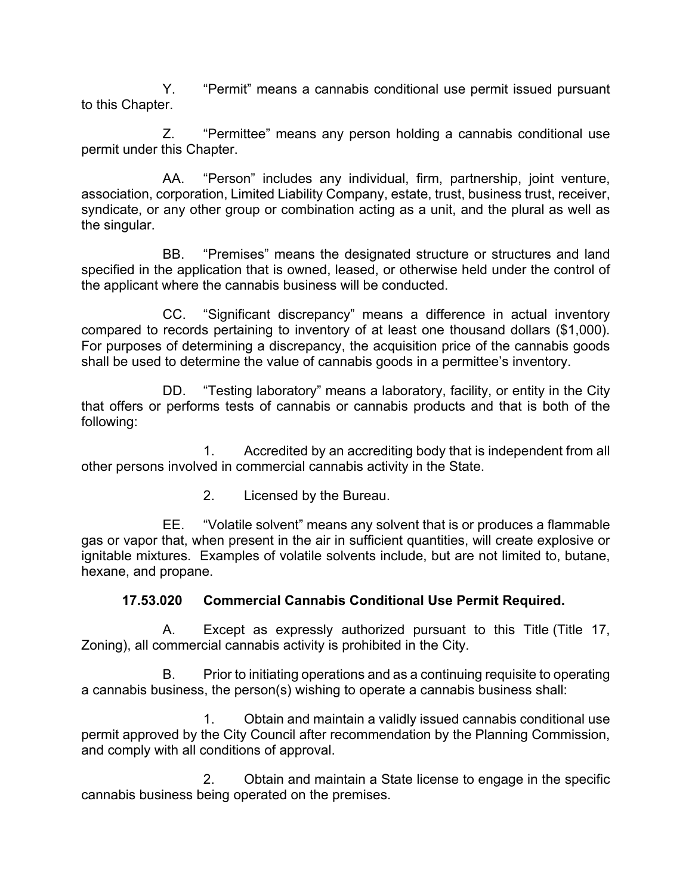Y. "Permit" means a cannabis conditional use permit issued pursuant to this Chapter.

Z. "Permittee" means any person holding a cannabis conditional use permit under this Chapter.

AA. "Person" includes any individual, firm, partnership, joint venture, association, corporation, Limited Liability Company, estate, trust, business trust, receiver, syndicate, or any other group or combination acting as a unit, and the plural as well as the singular.

BB. "Premises" means the designated structure or structures and land specified in the application that is owned, leased, or otherwise held under the control of the applicant where the cannabis business will be conducted.

CC. "Significant discrepancy" means a difference in actual inventory compared to records pertaining to inventory of at least one thousand dollars (\$1,000). For purposes of determining a discrepancy, the acquisition price of the cannabis goods shall be used to determine the value of cannabis goods in a permittee's inventory.

DD. "Testing laboratory" means a laboratory, facility, or entity in the City that offers or performs tests of cannabis or cannabis products and that is both of the following:

1. Accredited by an accrediting body that is independent from all other persons involved in commercial cannabis activity in the State.

2. Licensed by the Bureau.

EE. "Volatile solvent" means any solvent that is or produces a flammable gas or vapor that, when present in the air in sufficient quantities, will create explosive or ignitable mixtures. Examples of volatile solvents include, but are not limited to, butane, hexane, and propane.

#### **17.53.020 Commercial Cannabis Conditional Use Permit Required.**

A. Except as expressly authorized pursuant to this Title (Title 17, Zoning), all commercial cannabis activity is prohibited in the City.

B. Prior to initiating operations and as a continuing requisite to operating a cannabis business, the person(s) wishing to operate a cannabis business shall:

1. Obtain and maintain a validly issued cannabis conditional use permit approved by the City Council after recommendation by the Planning Commission, and comply with all conditions of approval.

2. Obtain and maintain a State license to engage in the specific cannabis business being operated on the premises.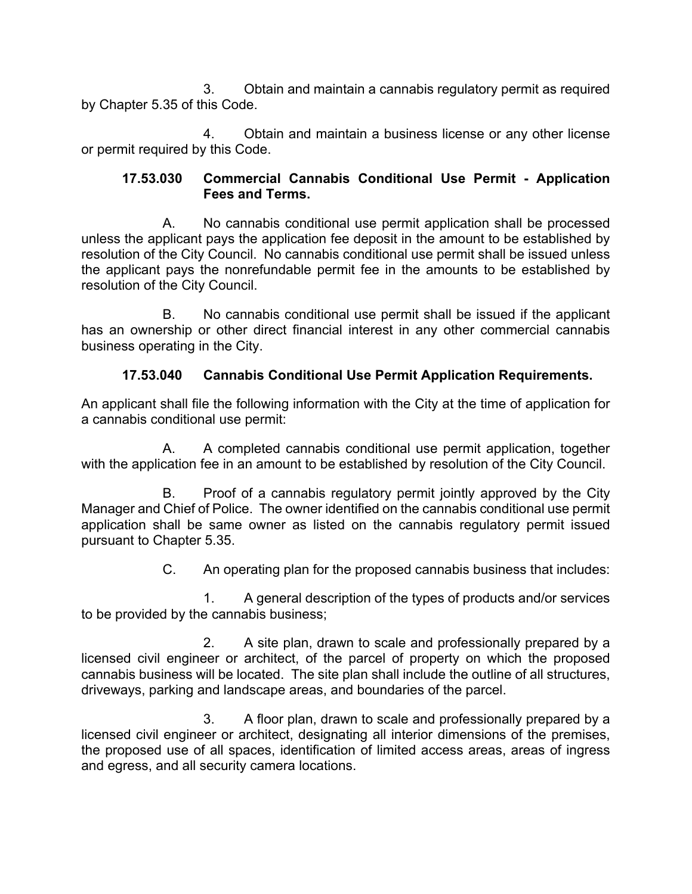3. Obtain and maintain a cannabis regulatory permit as required by Chapter 5.35 of this Code.

4. Obtain and maintain a business license or any other license or permit required by this Code.

#### **17.53.030 Commercial Cannabis Conditional Use Permit - Application Fees and Terms.**

A. No cannabis conditional use permit application shall be processed unless the applicant pays the application fee deposit in the amount to be established by resolution of the City Council. No cannabis conditional use permit shall be issued unless the applicant pays the nonrefundable permit fee in the amounts to be established by resolution of the City Council.

B. No cannabis conditional use permit shall be issued if the applicant has an ownership or other direct financial interest in any other commercial cannabis business operating in the City.

### **17.53.040 Cannabis Conditional Use Permit Application Requirements.**

An applicant shall file the following information with the City at the time of application for a cannabis conditional use permit:

A. A completed cannabis conditional use permit application, together with the application fee in an amount to be established by resolution of the City Council.

B. Proof of a cannabis regulatory permit jointly approved by the City Manager and Chief of Police. The owner identified on the cannabis conditional use permit application shall be same owner as listed on the cannabis regulatory permit issued pursuant to Chapter 5.35.

C. An operating plan for the proposed cannabis business that includes:

1. A general description of the types of products and/or services to be provided by the cannabis business;

2. A site plan, drawn to scale and professionally prepared by a licensed civil engineer or architect, of the parcel of property on which the proposed cannabis business will be located. The site plan shall include the outline of all structures, driveways, parking and landscape areas, and boundaries of the parcel.

3. A floor plan, drawn to scale and professionally prepared by a licensed civil engineer or architect, designating all interior dimensions of the premises, the proposed use of all spaces, identification of limited access areas, areas of ingress and egress, and all security camera locations.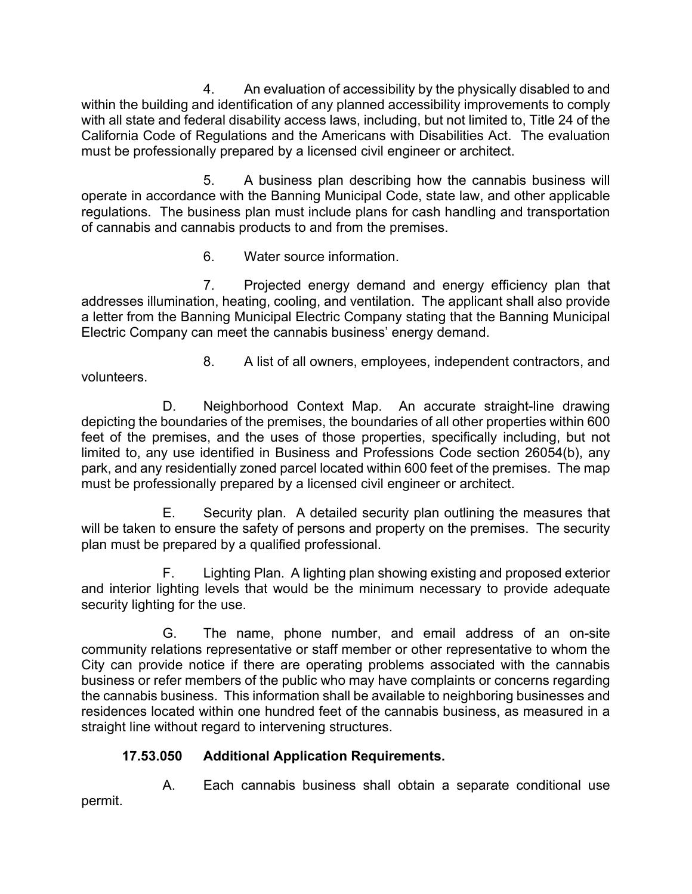4. An evaluation of accessibility by the physically disabled to and within the building and identification of any planned accessibility improvements to comply with all state and federal disability access laws, including, but not limited to, Title 24 of the California Code of Regulations and the Americans with Disabilities Act. The evaluation must be professionally prepared by a licensed civil engineer or architect.

5. A business plan describing how the cannabis business will operate in accordance with the Banning Municipal Code, state law, and other applicable regulations. The business plan must include plans for cash handling and transportation of cannabis and cannabis products to and from the premises.

6. Water source information.

7. Projected energy demand and energy efficiency plan that addresses illumination, heating, cooling, and ventilation. The applicant shall also provide a letter from the Banning Municipal Electric Company stating that the Banning Municipal Electric Company can meet the cannabis business' energy demand.

8. A list of all owners, employees, independent contractors, and volunteers.

D. Neighborhood Context Map. An accurate straight-line drawing depicting the boundaries of the premises, the boundaries of all other properties within 600 feet of the premises, and the uses of those properties, specifically including, but not limited to, any use identified in Business and Professions Code section 26054(b), any park, and any residentially zoned parcel located within 600 feet of the premises. The map must be professionally prepared by a licensed civil engineer or architect.

E. Security plan. A detailed security plan outlining the measures that will be taken to ensure the safety of persons and property on the premises. The security plan must be prepared by a qualified professional.

F. Lighting Plan. A lighting plan showing existing and proposed exterior and interior lighting levels that would be the minimum necessary to provide adequate security lighting for the use.

G. The name, phone number, and email address of an on-site community relations representative or staff member or other representative to whom the City can provide notice if there are operating problems associated with the cannabis business or refer members of the public who may have complaints or concerns regarding the cannabis business. This information shall be available to neighboring businesses and residences located within one hundred feet of the cannabis business, as measured in a straight line without regard to intervening structures.

# **17.53.050 Additional Application Requirements.**

A. Each cannabis business shall obtain a separate conditional use permit.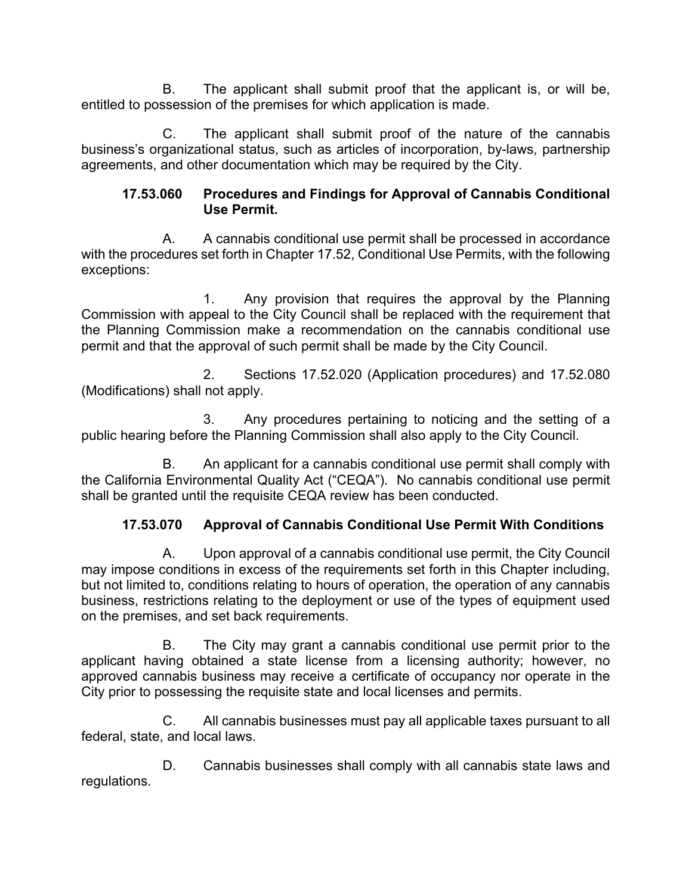B. The applicant shall submit proof that the applicant is, or will be, entitled to possession of the premises for which application is made.

C. The applicant shall submit proof of the nature of the cannabis business's organizational status, such as articles of incorporation, by-laws, partnership agreements, and other documentation which may be required by the City.

#### **17.53.060 Procedures and Findings for Approval of Cannabis Conditional Use Permit.**

A. A cannabis conditional use permit shall be processed in accordance with the procedures set forth in Chapter 17.52, Conditional Use Permits, with the following exceptions:

1. Any provision that requires the approval by the Planning Commission with appeal to the City Council shall be replaced with the requirement that the Planning Commission make a recommendation on the cannabis conditional use permit and that the approval of such permit shall be made by the City Council.

2. Sections 17.52.020 (Application procedures) and 17.52.080 (Modifications) shall not apply.

3. Any procedures pertaining to noticing and the setting of a public hearing before the Planning Commission shall also apply to the City Council.

B. An applicant for a cannabis conditional use permit shall comply with the California Environmental Quality Act ("CEQA"). No cannabis conditional use permit shall be granted until the requisite CEQA review has been conducted.

# **17.53.070 Approval of Cannabis Conditional Use Permit With Conditions**

A. Upon approval of a cannabis conditional use permit, the City Council may impose conditions in excess of the requirements set forth in this Chapter including, but not limited to, conditions relating to hours of operation, the operation of any cannabis business, restrictions relating to the deployment or use of the types of equipment used on the premises, and set back requirements.

B. The City may grant a cannabis conditional use permit prior to the applicant having obtained a state license from a licensing authority; however, no approved cannabis business may receive a certificate of occupancy nor operate in the City prior to possessing the requisite state and local licenses and permits.

C. All cannabis businesses must pay all applicable taxes pursuant to all federal, state, and local laws.

D. Cannabis businesses shall comply with all cannabis state laws and regulations.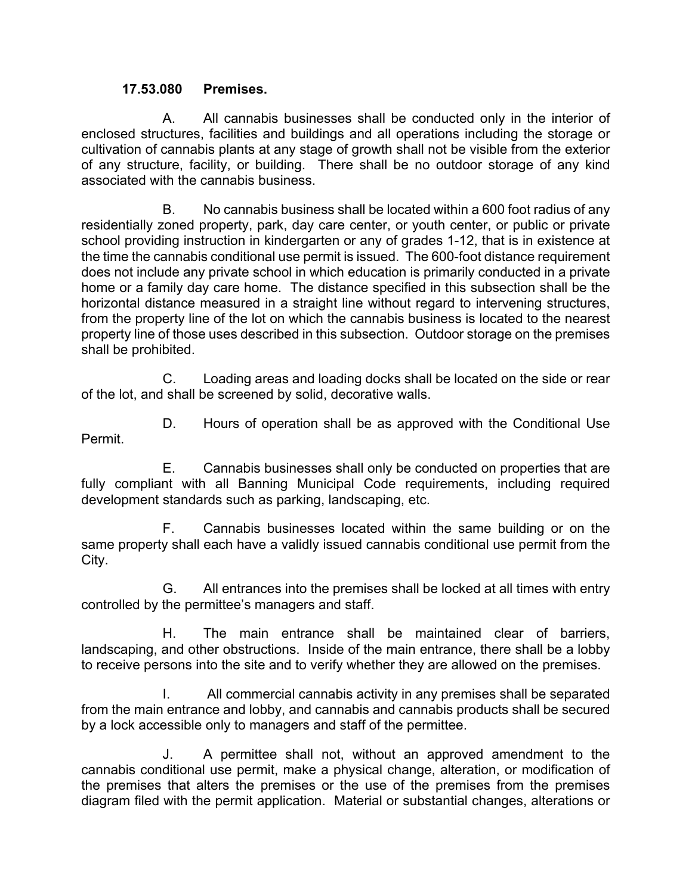#### **17.53.080 Premises.**

A. All cannabis businesses shall be conducted only in the interior of enclosed structures, facilities and buildings and all operations including the storage or cultivation of cannabis plants at any stage of growth shall not be visible from the exterior of any structure, facility, or building. There shall be no outdoor storage of any kind associated with the cannabis business.

B. No cannabis business shall be located within a 600 foot radius of any residentially zoned property, park, day care center, or youth center, or public or private school providing instruction in kindergarten or any of grades 1-12, that is in existence at the time the cannabis conditional use permit is issued. The 600-foot distance requirement does not include any private school in which education is primarily conducted in a private home or a family day care home. The distance specified in this subsection shall be the horizontal distance measured in a straight line without regard to intervening structures, from the property line of the lot on which the cannabis business is located to the nearest property line of those uses described in this subsection. Outdoor storage on the premises shall be prohibited.

C. Loading areas and loading docks shall be located on the side or rear of the lot, and shall be screened by solid, decorative walls.

D. Hours of operation shall be as approved with the Conditional Use Permit.

E. Cannabis businesses shall only be conducted on properties that are fully compliant with all Banning Municipal Code requirements, including required development standards such as parking, landscaping, etc.

F. Cannabis businesses located within the same building or on the same property shall each have a validly issued cannabis conditional use permit from the City.

G. All entrances into the premises shall be locked at all times with entry controlled by the permittee's managers and staff.

H. The main entrance shall be maintained clear of barriers, landscaping, and other obstructions. Inside of the main entrance, there shall be a lobby to receive persons into the site and to verify whether they are allowed on the premises.

I. All commercial cannabis activity in any premises shall be separated from the main entrance and lobby, and cannabis and cannabis products shall be secured by a lock accessible only to managers and staff of the permittee.

J. A permittee shall not, without an approved amendment to the cannabis conditional use permit, make a physical change, alteration, or modification of the premises that alters the premises or the use of the premises from the premises diagram filed with the permit application. Material or substantial changes, alterations or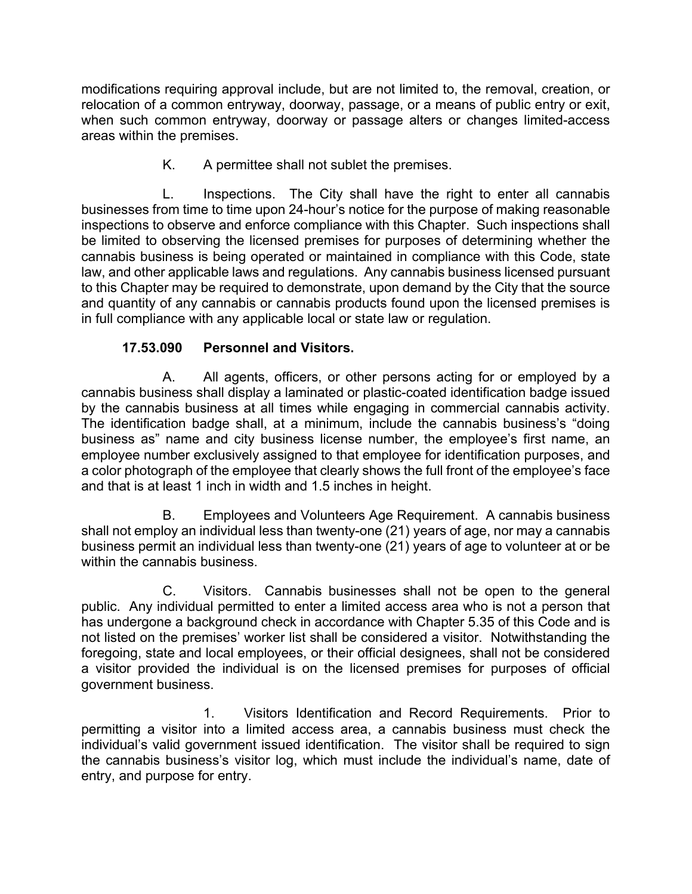modifications requiring approval include, but are not limited to, the removal, creation, or relocation of a common entryway, doorway, passage, or a means of public entry or exit, when such common entryway, doorway or passage alters or changes limited-access areas within the premises.

K. A permittee shall not sublet the premises.

L. Inspections. The City shall have the right to enter all cannabis businesses from time to time upon 24-hour's notice for the purpose of making reasonable inspections to observe and enforce compliance with this Chapter. Such inspections shall be limited to observing the licensed premises for purposes of determining whether the cannabis business is being operated or maintained in compliance with this Code, state law, and other applicable laws and regulations. Any cannabis business licensed pursuant to this Chapter may be required to demonstrate, upon demand by the City that the source and quantity of any cannabis or cannabis products found upon the licensed premises is in full compliance with any applicable local or state law or regulation.

# **17.53.090 Personnel and Visitors.**

A. All agents, officers, or other persons acting for or employed by a cannabis business shall display a laminated or plastic-coated identification badge issued by the cannabis business at all times while engaging in commercial cannabis activity. The identification badge shall, at a minimum, include the cannabis business's "doing business as" name and city business license number, the employee's first name, an employee number exclusively assigned to that employee for identification purposes, and a color photograph of the employee that clearly shows the full front of the employee's face and that is at least 1 inch in width and 1.5 inches in height.

B. Employees and Volunteers Age Requirement. A cannabis business shall not employ an individual less than twenty-one (21) years of age, nor may a cannabis business permit an individual less than twenty-one (21) years of age to volunteer at or be within the cannabis business.

C. Visitors. Cannabis businesses shall not be open to the general public. Any individual permitted to enter a limited access area who is not a person that has undergone a background check in accordance with Chapter 5.35 of this Code and is not listed on the premises' worker list shall be considered a visitor. Notwithstanding the foregoing, state and local employees, or their official designees, shall not be considered a visitor provided the individual is on the licensed premises for purposes of official government business.

1. Visitors Identification and Record Requirements. Prior to permitting a visitor into a limited access area, a cannabis business must check the individual's valid government issued identification. The visitor shall be required to sign the cannabis business's visitor log, which must include the individual's name, date of entry, and purpose for entry.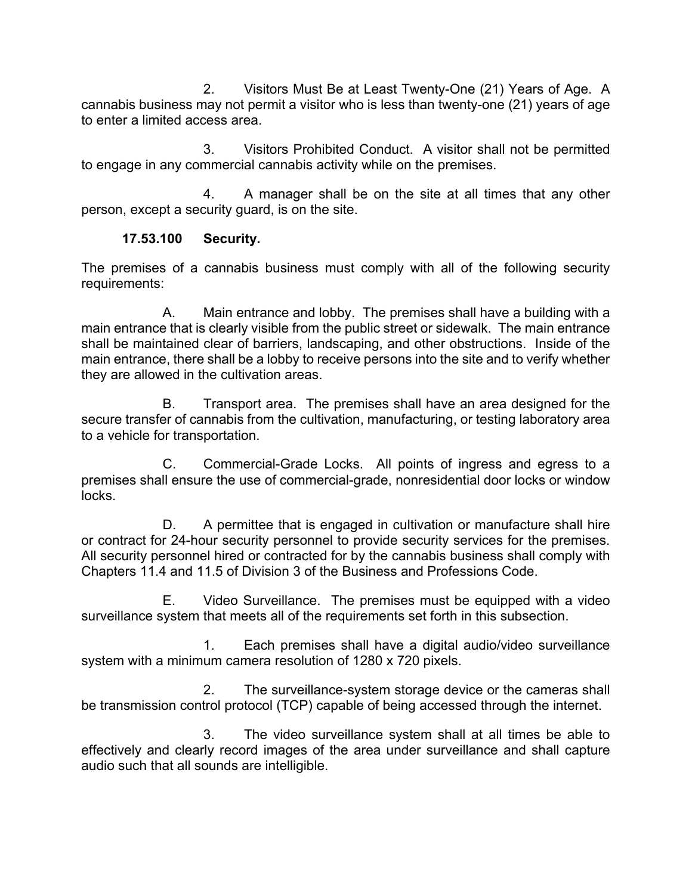2. Visitors Must Be at Least Twenty-One (21) Years of Age. A cannabis business may not permit a visitor who is less than twenty-one (21) years of age to enter a limited access area.

3. Visitors Prohibited Conduct. A visitor shall not be permitted to engage in any commercial cannabis activity while on the premises.

4. A manager shall be on the site at all times that any other person, except a security guard, is on the site.

#### **17.53.100 Security.**

The premises of a cannabis business must comply with all of the following security requirements:

A. Main entrance and lobby. The premises shall have a building with a main entrance that is clearly visible from the public street or sidewalk. The main entrance shall be maintained clear of barriers, landscaping, and other obstructions. Inside of the main entrance, there shall be a lobby to receive persons into the site and to verify whether they are allowed in the cultivation areas.

B. Transport area. The premises shall have an area designed for the secure transfer of cannabis from the cultivation, manufacturing, or testing laboratory area to a vehicle for transportation.

C. Commercial-Grade Locks. All points of ingress and egress to a premises shall ensure the use of commercial-grade, nonresidential door locks or window locks.

D. A permittee that is engaged in cultivation or manufacture shall hire or contract for 24-hour security personnel to provide security services for the premises. All security personnel hired or contracted for by the cannabis business shall comply with Chapters 11.4 and 11.5 of Division 3 of the Business and Professions Code.

E. Video Surveillance. The premises must be equipped with a video surveillance system that meets all of the requirements set forth in this subsection.

1. Each premises shall have a digital audio/video surveillance system with a minimum camera resolution of 1280 x 720 pixels.

2. The surveillance-system storage device or the cameras shall be transmission control protocol (TCP) capable of being accessed through the internet.

3. The video surveillance system shall at all times be able to effectively and clearly record images of the area under surveillance and shall capture audio such that all sounds are intelligible.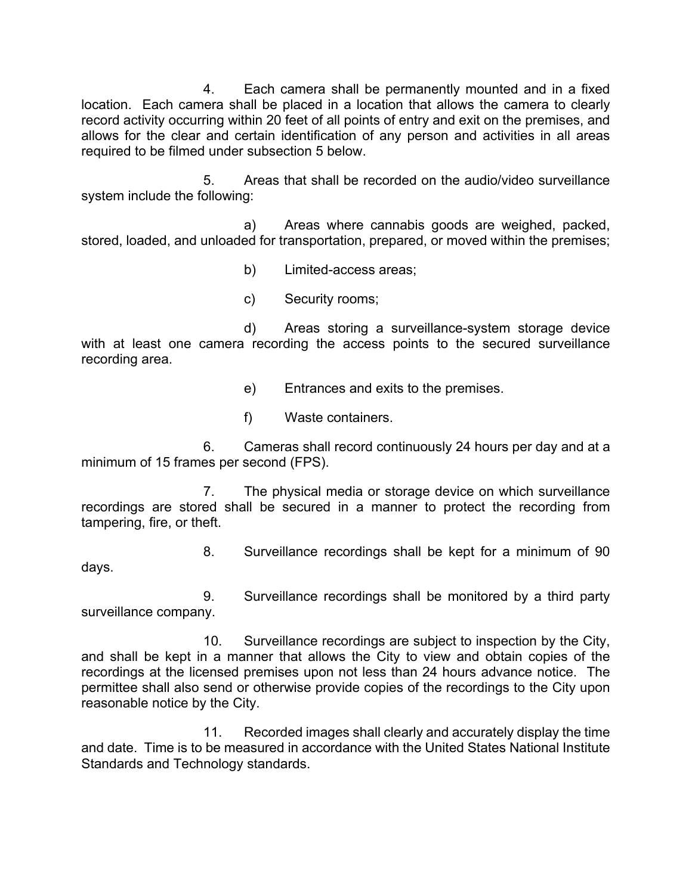4. Each camera shall be permanently mounted and in a fixed location. Each camera shall be placed in a location that allows the camera to clearly record activity occurring within 20 feet of all points of entry and exit on the premises, and allows for the clear and certain identification of any person and activities in all areas required to be filmed under subsection 5 below.

5. Areas that shall be recorded on the audio/video surveillance system include the following:

a) Areas where cannabis goods are weighed, packed, stored, loaded, and unloaded for transportation, prepared, or moved within the premises;

b) Limited-access areas;

c) Security rooms;

d) Areas storing a surveillance-system storage device with at least one camera recording the access points to the secured surveillance recording area.

e) Entrances and exits to the premises.

f) Waste containers.

6. Cameras shall record continuously 24 hours per day and at a minimum of 15 frames per second (FPS).

7. The physical media or storage device on which surveillance recordings are stored shall be secured in a manner to protect the recording from tampering, fire, or theft.

8. Surveillance recordings shall be kept for a minimum of 90 days.

9. Surveillance recordings shall be monitored by a third party surveillance company.

10. Surveillance recordings are subject to inspection by the City, and shall be kept in a manner that allows the City to view and obtain copies of the recordings at the licensed premises upon not less than 24 hours advance notice. The permittee shall also send or otherwise provide copies of the recordings to the City upon reasonable notice by the City.

11. Recorded images shall clearly and accurately display the time and date. Time is to be measured in accordance with the United States National Institute Standards and Technology standards.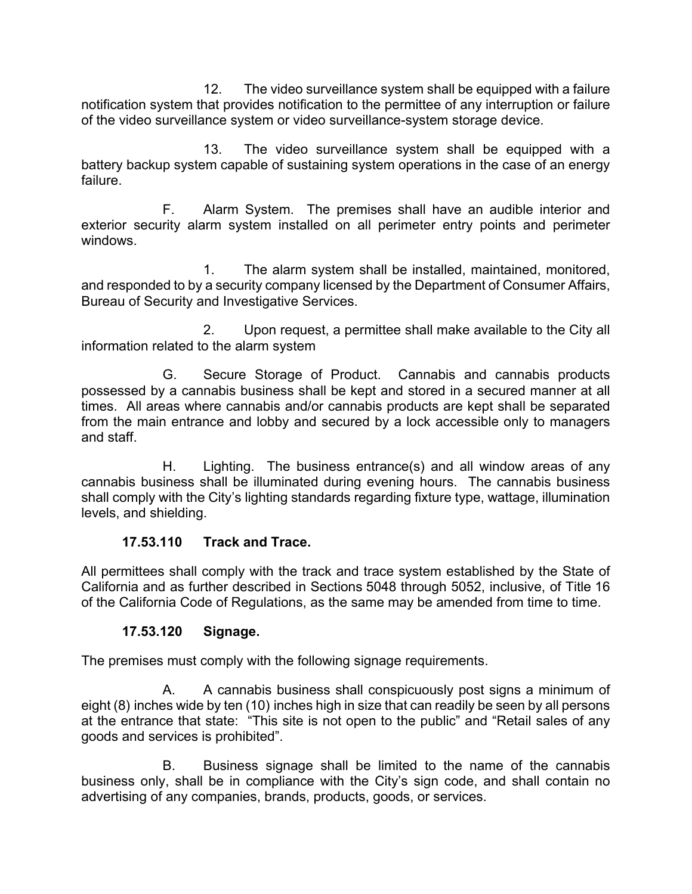12. The video surveillance system shall be equipped with a failure notification system that provides notification to the permittee of any interruption or failure of the video surveillance system or video surveillance-system storage device.

13. The video surveillance system shall be equipped with a battery backup system capable of sustaining system operations in the case of an energy failure.

F. Alarm System. The premises shall have an audible interior and exterior security alarm system installed on all perimeter entry points and perimeter windows.

1. The alarm system shall be installed, maintained, monitored, and responded to by a security company licensed by the Department of Consumer Affairs, Bureau of Security and Investigative Services.

2. Upon request, a permittee shall make available to the City all information related to the alarm system

G. Secure Storage of Product. Cannabis and cannabis products possessed by a cannabis business shall be kept and stored in a secured manner at all times. All areas where cannabis and/or cannabis products are kept shall be separated from the main entrance and lobby and secured by a lock accessible only to managers and staff.

H. Lighting. The business entrance(s) and all window areas of any cannabis business shall be illuminated during evening hours. The cannabis business shall comply with the City's lighting standards regarding fixture type, wattage, illumination levels, and shielding.

#### **17.53.110 Track and Trace.**

All permittees shall comply with the track and trace system established by the State of California and as further described in Sections 5048 through 5052, inclusive, of Title 16 of the California Code of Regulations, as the same may be amended from time to time.

# **17.53.120 Signage.**

The premises must comply with the following signage requirements.

A. A cannabis business shall conspicuously post signs a minimum of eight (8) inches wide by ten (10) inches high in size that can readily be seen by all persons at the entrance that state: "This site is not open to the public" and "Retail sales of any goods and services is prohibited".

B. Business signage shall be limited to the name of the cannabis business only, shall be in compliance with the City's sign code, and shall contain no advertising of any companies, brands, products, goods, or services.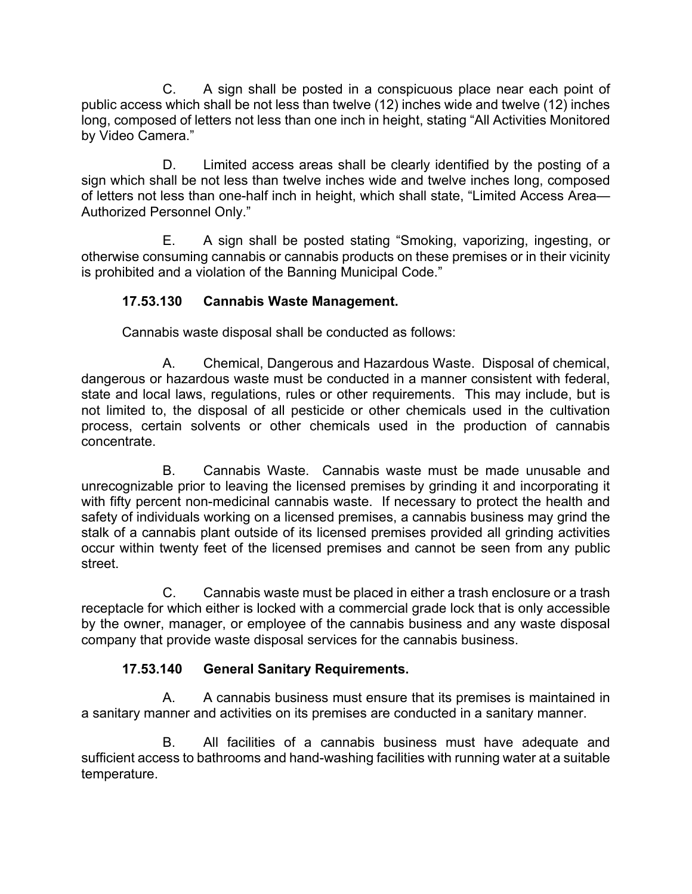C. A sign shall be posted in a conspicuous place near each point of public access which shall be not less than twelve (12) inches wide and twelve (12) inches long, composed of letters not less than one inch in height, stating "All Activities Monitored by Video Camera."

D. Limited access areas shall be clearly identified by the posting of a sign which shall be not less than twelve inches wide and twelve inches long, composed of letters not less than one-half inch in height, which shall state, "Limited Access Area— Authorized Personnel Only."

E. A sign shall be posted stating "Smoking, vaporizing, ingesting, or otherwise consuming cannabis or cannabis products on these premises or in their vicinity is prohibited and a violation of the Banning Municipal Code."

### **17.53.130 Cannabis Waste Management.**

Cannabis waste disposal shall be conducted as follows:

A. Chemical, Dangerous and Hazardous Waste. Disposal of chemical, dangerous or hazardous waste must be conducted in a manner consistent with federal, state and local laws, regulations, rules or other requirements. This may include, but is not limited to, the disposal of all pesticide or other chemicals used in the cultivation process, certain solvents or other chemicals used in the production of cannabis concentrate.

B. Cannabis Waste. Cannabis waste must be made unusable and unrecognizable prior to leaving the licensed premises by grinding it and incorporating it with fifty percent non-medicinal cannabis waste. If necessary to protect the health and safety of individuals working on a licensed premises, a cannabis business may grind the stalk of a cannabis plant outside of its licensed premises provided all grinding activities occur within twenty feet of the licensed premises and cannot be seen from any public street.

C. Cannabis waste must be placed in either a trash enclosure or a trash receptacle for which either is locked with a commercial grade lock that is only accessible by the owner, manager, or employee of the cannabis business and any waste disposal company that provide waste disposal services for the cannabis business.

#### **17.53.140 General Sanitary Requirements.**

A. A cannabis business must ensure that its premises is maintained in a sanitary manner and activities on its premises are conducted in a sanitary manner.

B. All facilities of a cannabis business must have adequate and sufficient access to bathrooms and hand-washing facilities with running water at a suitable temperature.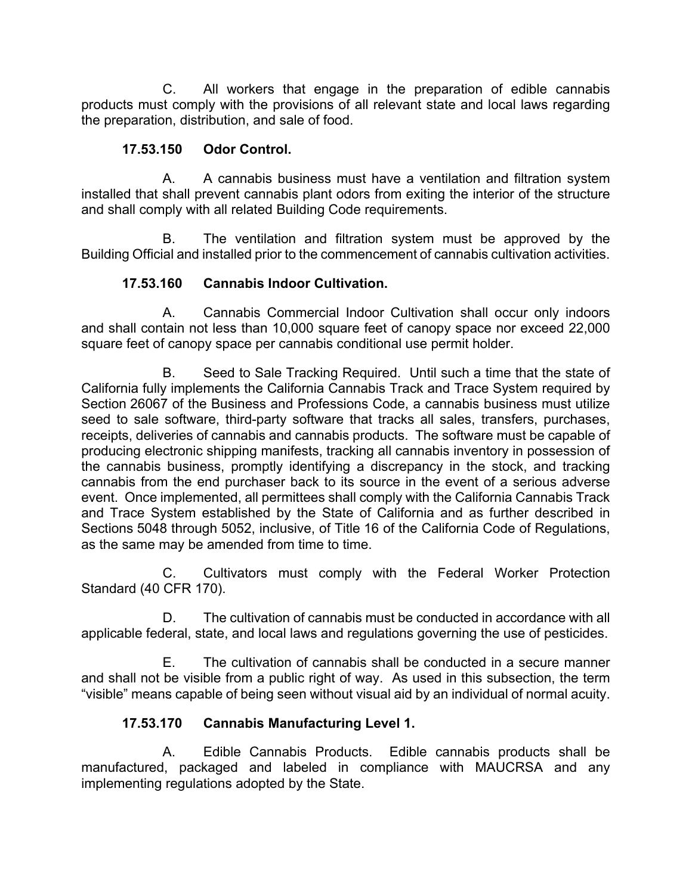C. All workers that engage in the preparation of edible cannabis products must comply with the provisions of all relevant state and local laws regarding the preparation, distribution, and sale of food.

### **17.53.150 Odor Control.**

A. A cannabis business must have a ventilation and filtration system installed that shall prevent cannabis plant odors from exiting the interior of the structure and shall comply with all related Building Code requirements.

B. The ventilation and filtration system must be approved by the Building Official and installed prior to the commencement of cannabis cultivation activities.

# **17.53.160 Cannabis Indoor Cultivation.**

A. Cannabis Commercial Indoor Cultivation shall occur only indoors and shall contain not less than 10,000 square feet of canopy space nor exceed 22,000 square feet of canopy space per cannabis conditional use permit holder.

B. Seed to Sale Tracking Required. Until such a time that the state of California fully implements the California Cannabis Track and Trace System required by Section 26067 of the Business and Professions Code, a cannabis business must utilize seed to sale software, third-party software that tracks all sales, transfers, purchases, receipts, deliveries of cannabis and cannabis products. The software must be capable of producing electronic shipping manifests, tracking all cannabis inventory in possession of the cannabis business, promptly identifying a discrepancy in the stock, and tracking cannabis from the end purchaser back to its source in the event of a serious adverse event. Once implemented, all permittees shall comply with the California Cannabis Track and Trace System established by the State of California and as further described in Sections 5048 through 5052, inclusive, of Title 16 of the California Code of Regulations, as the same may be amended from time to time.

C. Cultivators must comply with the Federal Worker Protection Standard (40 CFR 170).

D. The cultivation of cannabis must be conducted in accordance with all applicable federal, state, and local laws and regulations governing the use of pesticides.

E. The cultivation of cannabis shall be conducted in a secure manner and shall not be visible from a public right of way. As used in this subsection, the term "visible" means capable of being seen without visual aid by an individual of normal acuity.

# **17.53.170 Cannabis Manufacturing Level 1.**

A. Edible Cannabis Products. Edible cannabis products shall be manufactured, packaged and labeled in compliance with MAUCRSA and any implementing regulations adopted by the State.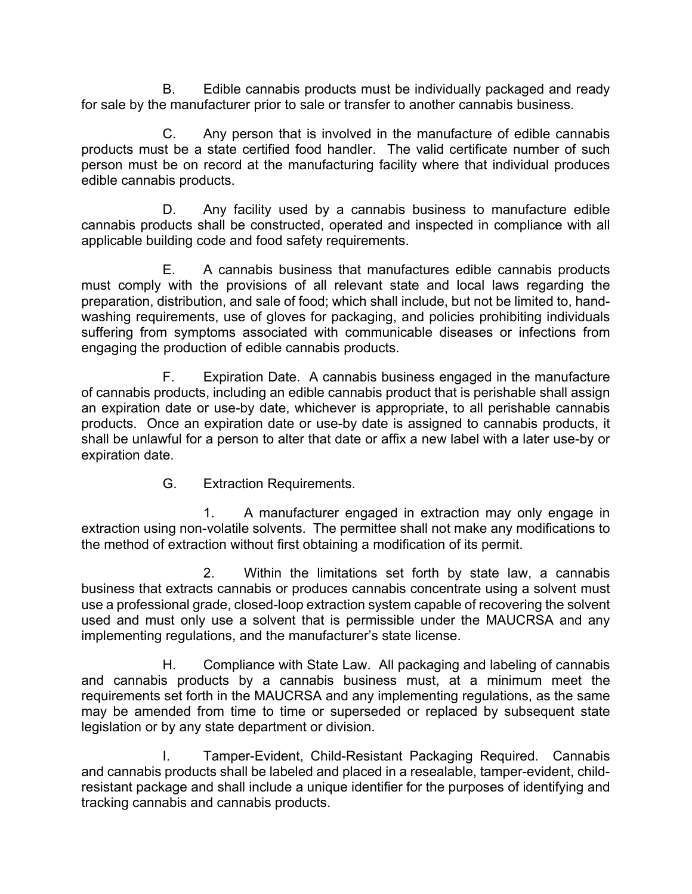B. Edible cannabis products must be individually packaged and ready for sale by the manufacturer prior to sale or transfer to another cannabis business.

C. Any person that is involved in the manufacture of edible cannabis products must be a state certified food handler. The valid certificate number of such person must be on record at the manufacturing facility where that individual produces edible cannabis products.

D. Any facility used by a cannabis business to manufacture edible cannabis products shall be constructed, operated and inspected in compliance with all applicable building code and food safety requirements.

E. A cannabis business that manufactures edible cannabis products must comply with the provisions of all relevant state and local laws regarding the preparation, distribution, and sale of food; which shall include, but not be limited to, handwashing requirements, use of gloves for packaging, and policies prohibiting individuals suffering from symptoms associated with communicable diseases or infections from engaging the production of edible cannabis products.

F. Expiration Date. A cannabis business engaged in the manufacture of cannabis products, including an edible cannabis product that is perishable shall assign an expiration date or use-by date, whichever is appropriate, to all perishable cannabis products. Once an expiration date or use-by date is assigned to cannabis products, it shall be unlawful for a person to alter that date or affix a new label with a later use-by or expiration date.

G. Extraction Requirements.

1. A manufacturer engaged in extraction may only engage in extraction using non-volatile solvents. The permittee shall not make any modifications to the method of extraction without first obtaining a modification of its permit.

2. Within the limitations set forth by state law, a cannabis business that extracts cannabis or produces cannabis concentrate using a solvent must use a professional grade, closed-loop extraction system capable of recovering the solvent used and must only use a solvent that is permissible under the MAUCRSA and any implementing regulations, and the manufacturer's state license.

H. Compliance with State Law. All packaging and labeling of cannabis and cannabis products by a cannabis business must, at a minimum meet the requirements set forth in the MAUCRSA and any implementing regulations, as the same may be amended from time to time or superseded or replaced by subsequent state legislation or by any state department or division.

I. Tamper-Evident, Child-Resistant Packaging Required. Cannabis and cannabis products shall be labeled and placed in a resealable, tamper-evident, childresistant package and shall include a unique identifier for the purposes of identifying and tracking cannabis and cannabis products.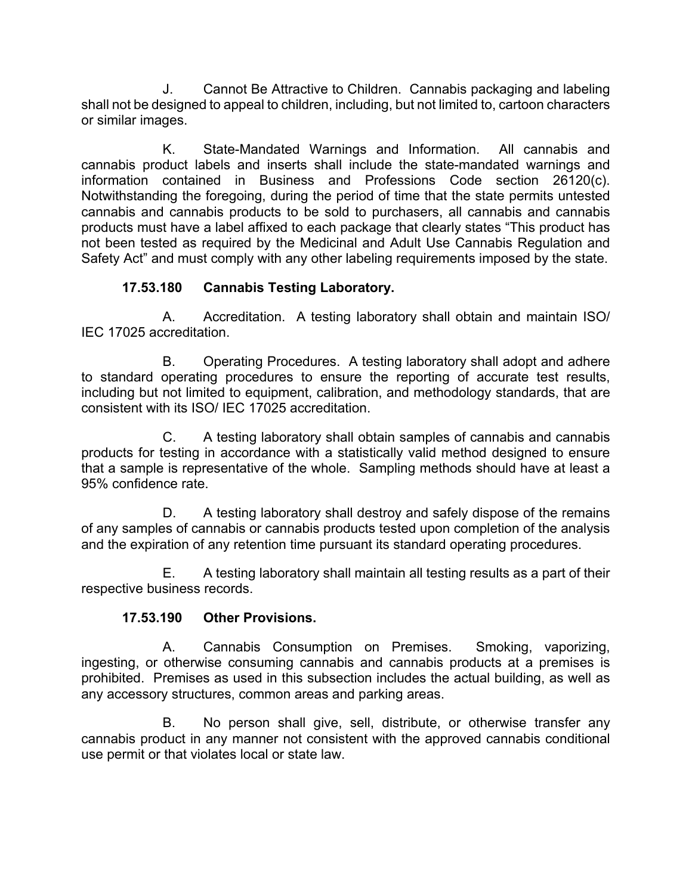J. Cannot Be Attractive to Children. Cannabis packaging and labeling shall not be designed to appeal to children, including, but not limited to, cartoon characters or similar images.

K. State-Mandated Warnings and Information. All cannabis and cannabis product labels and inserts shall include the state-mandated warnings and information contained in Business and Professions Code section 26120(c). Notwithstanding the foregoing, during the period of time that the state permits untested cannabis and cannabis products to be sold to purchasers, all cannabis and cannabis products must have a label affixed to each package that clearly states "This product has not been tested as required by the Medicinal and Adult Use Cannabis Regulation and Safety Act" and must comply with any other labeling requirements imposed by the state.

### **17.53.180 Cannabis Testing Laboratory.**

A. Accreditation. A testing laboratory shall obtain and maintain ISO/ IEC 17025 accreditation.

B. Operating Procedures. A testing laboratory shall adopt and adhere to standard operating procedures to ensure the reporting of accurate test results, including but not limited to equipment, calibration, and methodology standards, that are consistent with its ISO/ IEC 17025 accreditation.

C. A testing laboratory shall obtain samples of cannabis and cannabis products for testing in accordance with a statistically valid method designed to ensure that a sample is representative of the whole. Sampling methods should have at least a 95% confidence rate.

D. A testing laboratory shall destroy and safely dispose of the remains of any samples of cannabis or cannabis products tested upon completion of the analysis and the expiration of any retention time pursuant its standard operating procedures.

E. A testing laboratory shall maintain all testing results as a part of their respective business records.

#### **17.53.190 Other Provisions.**

A. Cannabis Consumption on Premises. Smoking, vaporizing, ingesting, or otherwise consuming cannabis and cannabis products at a premises is prohibited. Premises as used in this subsection includes the actual building, as well as any accessory structures, common areas and parking areas.

B. No person shall give, sell, distribute, or otherwise transfer any cannabis product in any manner not consistent with the approved cannabis conditional use permit or that violates local or state law.